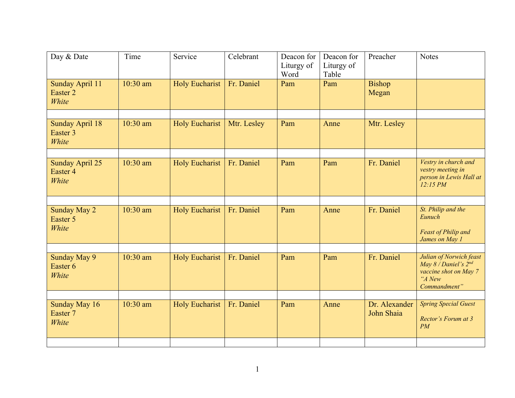| Day & Date                               | Time     | Service               | Celebrant   | Deacon for<br>Liturgy of<br>Word | Deacon for<br>Liturgy of<br>Table | Preacher                    | <b>Notes</b>                                                                                       |
|------------------------------------------|----------|-----------------------|-------------|----------------------------------|-----------------------------------|-----------------------------|----------------------------------------------------------------------------------------------------|
| Sunday April 11<br>Easter 2<br>White     | 10:30 am | <b>Holy Eucharist</b> | Fr. Daniel  | Pam                              | Pam                               | <b>Bishop</b><br>Megan      |                                                                                                    |
| <b>Sunday April 18</b>                   | 10:30 am | <b>Holy Eucharist</b> | Mtr. Lesley | Pam                              | Anne                              | Mtr. Lesley                 |                                                                                                    |
| Easter 3<br>White                        |          |                       |             |                                  |                                   |                             |                                                                                                    |
|                                          |          |                       |             |                                  |                                   |                             |                                                                                                    |
| Sunday April 25<br>Easter 4<br>White     | 10:30 am | <b>Holy Eucharist</b> | Fr. Daniel  | Pam                              | Pam                               | Fr. Daniel                  | Vestry in church and<br>vestry meeting in<br>person in Lewis Hall at<br>12:15 PM                   |
|                                          |          |                       |             |                                  |                                   |                             |                                                                                                    |
| <b>Sunday May 2</b><br>Easter 5<br>White | 10:30 am | <b>Holy Eucharist</b> | Fr. Daniel  | Pam                              | Anne                              | Fr. Daniel                  | St. Philip and the<br>Eunuch<br><b>Feast of Philip and</b><br>James on May 1                       |
|                                          |          |                       |             |                                  |                                   |                             |                                                                                                    |
| Sunday May 9<br>Easter 6<br>White        | 10:30 am | <b>Holy Eucharist</b> | Fr. Daniel  | Pam                              | Pam                               | Fr. Daniel                  | Julian of Norwich feast<br>May 8 / Daniel's 2nd<br>vaccine shot on May 7<br>"A New<br>Commandment" |
|                                          |          |                       |             |                                  |                                   |                             |                                                                                                    |
| Sunday May 16<br>Easter 7<br>White       | 10:30 am | <b>Holy Eucharist</b> | Fr. Daniel  | Pam                              | Anne                              | Dr. Alexander<br>John Shaia | <b>Spring Special Guest</b><br>Rector's Forum at 3<br>PM                                           |
|                                          |          |                       |             |                                  |                                   |                             |                                                                                                    |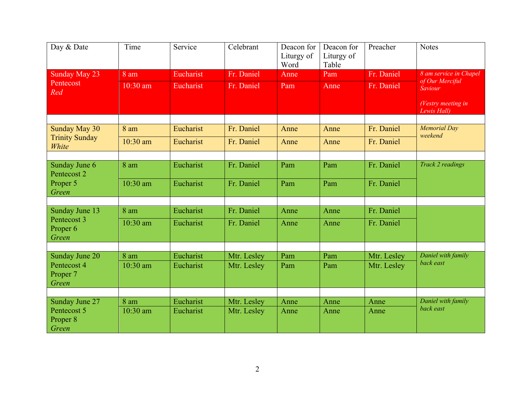| Day & Date                                  | Time     | Service   | Celebrant   | Deacon for<br>Liturgy of<br>Word | Deacon for<br>Liturgy of<br>Table | Preacher    | <b>Notes</b>                      |
|---------------------------------------------|----------|-----------|-------------|----------------------------------|-----------------------------------|-------------|-----------------------------------|
| Sunday May 23                               | 8 am     | Eucharist | Fr. Daniel  | Anne                             | Pam                               | Fr. Daniel  | 8 am service in Chapel            |
| Pentecost<br>Red                            | 10:30 am | Eucharist | Fr. Daniel  | Pam                              | Anne                              | Fr. Daniel  | of Our Merciful<br>Saviour        |
|                                             |          |           |             |                                  |                                   |             | (Vestry meeting in<br>Lewis Hall) |
|                                             |          |           |             |                                  |                                   |             |                                   |
| Sunday May 30                               | 8 am     | Eucharist | Fr. Daniel  | Anne                             | Anne                              | Fr. Daniel  | <b>Memorial Day</b>               |
| <b>Trinity Sunday</b><br>White              | 10:30 am | Eucharist | Fr. Daniel  | Anne                             | Anne                              | Fr. Daniel  | weekend                           |
|                                             |          |           |             |                                  |                                   |             |                                   |
| Sunday June 6<br>Pentecost 2                | 8 am     | Eucharist | Fr. Daniel  | Pam                              | Pam                               | Fr. Daniel  | Track 2 readings                  |
| Proper 5<br>Green                           | 10:30 am | Eucharist | Fr. Daniel  | Pam                              | Pam                               | Fr. Daniel  |                                   |
|                                             |          |           |             |                                  |                                   |             |                                   |
| Sunday June 13                              | 8 am     | Eucharist | Fr. Daniel  | Anne                             | Anne                              | Fr. Daniel  |                                   |
| Pentecost 3<br>Proper <sub>6</sub><br>Green | 10:30 am | Eucharist | Fr. Daniel  | Anne                             | Anne                              | Fr. Daniel  |                                   |
|                                             |          |           |             |                                  |                                   |             |                                   |
| Sunday June 20                              | 8 am     | Eucharist | Mtr. Lesley | Pam                              | Pam                               | Mtr. Lesley | Daniel with family                |
| Pentecost 4<br>Proper 7<br>Green            | 10:30 am | Eucharist | Mtr. Lesley | Pam                              | Pam                               | Mtr. Lesley | back east                         |
|                                             |          |           |             |                                  |                                   |             |                                   |
| Sunday June 27                              | 8 am     | Eucharist | Mtr. Lesley | Anne                             | Anne                              | Anne        | Daniel with family                |
| Pentecost 5<br>Proper 8<br>Green            | 10:30 am | Eucharist | Mtr. Lesley | Anne                             | Anne                              | Anne        | back east                         |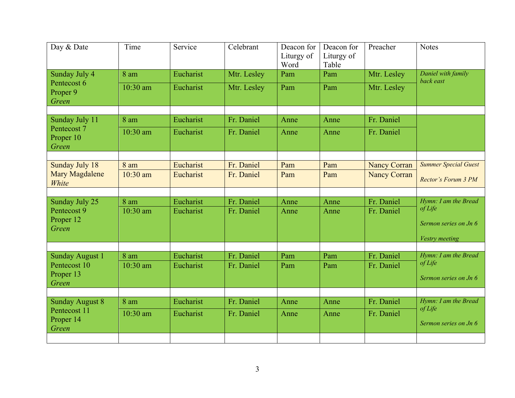| Day & Date                             | Time     | Service   | Celebrant   | Deacon for<br>Liturgy of<br>Word | Deacon for<br>Liturgy of<br>Table | Preacher            | <b>Notes</b>                    |
|----------------------------------------|----------|-----------|-------------|----------------------------------|-----------------------------------|---------------------|---------------------------------|
| Sunday July 4                          | 8 am     | Eucharist | Mtr. Lesley | Pam                              | Pam                               | Mtr. Lesley         | Daniel with family<br>back east |
| Pentecost 6<br>Proper 9<br>Green       | 10:30 am | Eucharist | Mtr. Lesley | Pam                              | Pam                               | Mtr. Lesley         |                                 |
|                                        |          |           |             |                                  |                                   |                     |                                 |
| Sunday July 11                         | 8 am     | Eucharist | Fr. Daniel  | Anne                             | Anne                              | Fr. Daniel          |                                 |
| Pentecost 7<br>Proper 10<br>Green      | 10:30 am | Eucharist | Fr. Daniel  | Anne                             | Anne                              | Fr. Daniel          |                                 |
|                                        |          |           |             |                                  |                                   |                     |                                 |
| Sunday July 18                         | 8 am     | Eucharist | Fr. Daniel  | Pam                              | Pam                               | <b>Nancy Corran</b> | <b>Summer Special Guest</b>     |
| <b>Mary Magdalene</b><br>White         | 10:30 am | Eucharist | Fr. Daniel  | Pam                              | Pam                               | <b>Nancy Corran</b> | Rector's Forum 3 PM             |
|                                        |          |           |             |                                  |                                   |                     |                                 |
| Sunday July 25                         | 8 am     | Eucharist | Fr. Daniel  | Anne                             | Anne                              | Fr. Daniel          | Hymn: I am the Bread<br>of Life |
| Pentecost 9                            | 10:30 am | Eucharist | Fr. Daniel  | Anne                             | Anne                              | Fr. Daniel          |                                 |
| Proper 12<br>Green                     |          |           |             |                                  |                                   |                     | Sermon series on Jn 6           |
|                                        |          |           |             |                                  |                                   |                     | Vestry meeting                  |
|                                        |          |           |             |                                  |                                   |                     |                                 |
| <b>Sunday August 1</b>                 | 8 am     | Eucharist | Fr. Daniel  | Pam                              | Pam                               | Fr. Daniel          | Hymn: I am the Bread            |
| Pentecost 10                           | 10:30 am | Eucharist | Fr. Daniel  | Pam                              | Pam                               | Fr. Daniel          | of Life                         |
| Proper 13<br>Green                     |          |           |             |                                  |                                   |                     | Sermon series on Jn 6           |
|                                        |          |           |             |                                  |                                   |                     |                                 |
| <b>Sunday August 8</b><br>Pentecost 11 | 8 am     | Eucharist | Fr. Daniel  | Anne                             | Anne                              | Fr. Daniel          | Hymn: I am the Bread<br>of Life |
| Proper 14                              | 10:30 am | Eucharist | Fr. Daniel  | Anne                             | Anne                              | Fr. Daniel          |                                 |
|                                        |          |           |             |                                  |                                   |                     |                                 |
| Green                                  |          |           |             |                                  |                                   |                     | Sermon series on Jn 6           |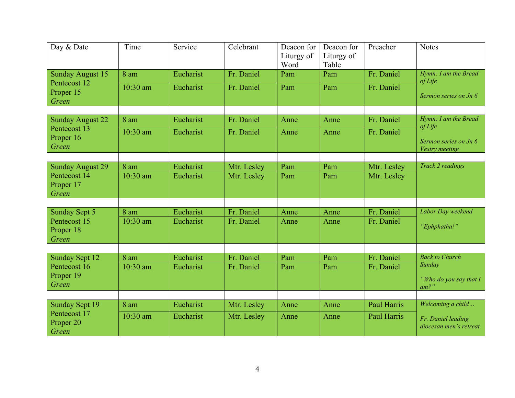| Day & Date                                    | Time             | Service                | Celebrant   | Deacon for<br>Liturgy of<br>Word | Deacon for<br>Liturgy of<br>Table | Preacher    | <b>Notes</b>                                                |
|-----------------------------------------------|------------------|------------------------|-------------|----------------------------------|-----------------------------------|-------------|-------------------------------------------------------------|
| <b>Sunday August 15</b>                       | 8 am             | Eucharist              | Fr. Daniel  | Pam                              | Pam                               | Fr. Daniel  | Hymn: I am the Bread<br>of Life                             |
| Pentecost 12<br>Proper 15<br>Green            | 10:30 am         | Eucharist              | Fr. Daniel  | Pam                              | Pam                               | Fr. Daniel  | Sermon series on Jn 6                                       |
| <b>Sunday August 22</b>                       | 8 am             | Eucharist              | Fr. Daniel  | Anne                             | Anne                              | Fr. Daniel  | Hymn: I am the Bread                                        |
| Pentecost 13<br>Proper 16<br>Green            | 10:30 am         | Eucharist              | Fr. Daniel  | Anne                             | Anne                              | Fr. Daniel  | $of$ <i>Life</i><br>Sermon series on Jn 6<br>Vestry meeting |
|                                               |                  |                        |             |                                  |                                   |             |                                                             |
| <b>Sunday August 29</b><br>Pentecost 14       | 8 am<br>10:30 am | Eucharist<br>Eucharist | Mtr. Lesley | Pam                              | Pam                               | Mtr. Lesley | Track 2 readings                                            |
| Proper 17<br>Green                            |                  |                        | Mtr. Lesley | Pam                              | Pam                               | Mtr. Lesley |                                                             |
|                                               |                  |                        |             |                                  |                                   |             |                                                             |
| Sunday Sept 5                                 | 8 am             | Eucharist              | Fr. Daniel  | Anne                             | Anne                              | Fr. Daniel  | Labor Day weekend                                           |
| Pentecost 15<br>Proper 18<br>Green            | 10:30 am         | Eucharist              | Fr. Daniel  | Anne                             | Anne                              | Fr. Daniel  | "Ephphatha!"                                                |
|                                               |                  |                        |             |                                  |                                   |             |                                                             |
| <b>Sunday Sept 12</b>                         | 8 am             | Eucharist              | Fr. Daniel  | Pam                              | Pam                               | Fr. Daniel  | <b>Back to Church</b>                                       |
| Pentecost 16                                  | 10:30 am         | Eucharist              | Fr. Daniel  | Pam                              | Pam                               | Fr. Daniel  | Sunday                                                      |
| Proper 19<br>Green                            |                  |                        |             |                                  |                                   |             | "Who do you say that $I$<br>$am?$ "                         |
|                                               |                  |                        |             |                                  |                                   |             |                                                             |
| Sunday Sept 19                                | 8 am             | Eucharist              | Mtr. Lesley | Anne                             | Anne                              | Paul Harris | Welcoming a child                                           |
| Pentecost 17<br>Proper <sub>20</sub><br>Green | 10:30 am         | Eucharist              | Mtr. Lesley | Anne                             | Anne                              | Paul Harris | Fr. Daniel leading<br>diocesan men's retreat                |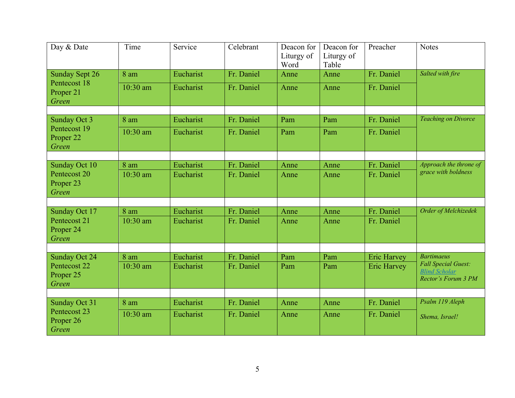| Day & Date                                                     | Time             | Service                | Celebrant                | Deacon for<br>Liturgy of<br>Word | Deacon for<br>Liturgy of<br>Table | Preacher                                 | <b>Notes</b>                                                              |
|----------------------------------------------------------------|------------------|------------------------|--------------------------|----------------------------------|-----------------------------------|------------------------------------------|---------------------------------------------------------------------------|
| <b>Sunday Sept 26</b>                                          | 8 am             | Eucharist              | Fr. Daniel               | Anne                             | Anne                              | Fr. Daniel                               | Salted with fire                                                          |
| Pentecost 18<br>Proper 21<br>Green                             | 10:30 am         | Eucharist              | Fr. Daniel               | Anne                             | Anne                              | Fr. Daniel                               |                                                                           |
| Sunday Oct 3                                                   | $8 \text{ am}$   | Eucharist              | Fr. Daniel               | Pam                              | Pam                               | Fr. Daniel                               | <b>Teaching on Divorce</b>                                                |
| Pentecost 19<br>Proper <sub>22</sub><br>Green                  | 10:30 am         | Eucharist              | Fr. Daniel               | Pam                              | Pam                               | Fr. Daniel                               |                                                                           |
|                                                                |                  |                        |                          |                                  |                                   |                                          |                                                                           |
| Sunday Oct 10<br>Pentecost 20<br>Proper <sub>23</sub>          | 8 am<br>10:30 am | Eucharist<br>Eucharist | Fr. Daniel<br>Fr. Daniel | Anne<br>Anne                     | Anne<br>Anne                      | Fr. Daniel<br>Fr. Daniel                 | Approach the throne of<br>grace with boldness                             |
| Green                                                          |                  |                        |                          |                                  |                                   |                                          |                                                                           |
| Sunday Oct 17<br>Pentecost 21<br>Proper <sub>24</sub><br>Green | 8 am<br>10:30 am | Eucharist<br>Eucharist | Fr. Daniel<br>Fr. Daniel | Anne<br>Anne                     | Anne<br>Anne                      | Fr. Daniel<br>Fr. Daniel                 | Order of Melchizedek                                                      |
|                                                                | 8 am             |                        |                          |                                  |                                   |                                          | <b>Bartimaeus</b>                                                         |
| Sunday Oct 24<br>Pentecost 22<br>Proper 25<br>Green            | 10:30 am         | Eucharist<br>Eucharist | Fr. Daniel<br>Fr. Daniel | Pam<br>Pam                       | Pam<br>Pam                        | <b>Eric Harvey</b><br><b>Eric Harvey</b> | <b>Fall Special Guest:</b><br><b>Blind Scholar</b><br>Rector's Forum 3 PM |
|                                                                |                  |                        |                          |                                  |                                   |                                          |                                                                           |
| Sunday Oct 31<br>Pentecost 23                                  | 8 am             | Eucharist              | Fr. Daniel               | Anne                             | Anne                              | Fr. Daniel                               | Psalm 119 Aleph                                                           |
| Proper 26<br>Green                                             | 10:30 am         | Eucharist              | Fr. Daniel               | Anne                             | Anne                              | Fr. Daniel                               | Shema, Israel!                                                            |